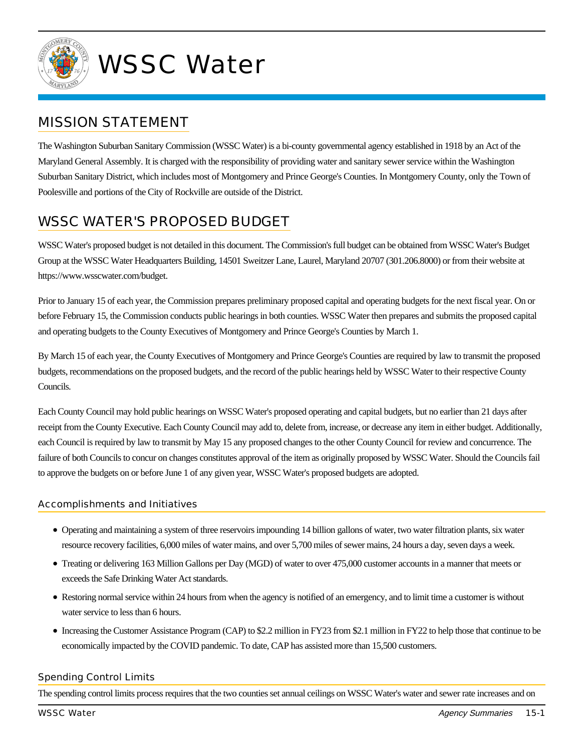

# WSSC Water

### MISSION STATEMENT

The Washington Suburban Sanitary Commission (WSSC Water) is a bi-county governmental agency established in 1918 by an Act of the Maryland General Assembly. It is charged with the responsibility of providing water and sanitary sewer service within the Washington Suburban Sanitary District, which includes most of Montgomery and Prince George's Counties. In Montgomery County, only the Town of Poolesville and portions of the City of Rockville are outside of the District.

## WSSC WATER'S PROPOSED BUDGET

WSSC Water's proposed budget is not detailed in this document. The Commission's full budget can be obtained from WSSC Water's Budget Group at the WSSC Water Headquarters Building, 14501 Sweitzer Lane, Laurel, Maryland 20707 (301.206.8000) or from their website at https://www.wsscwater.com/budget.

Prior to January 15 of each year, the Commission prepares preliminary proposed capital and operating budgets for the next fiscal year. On or before February 15, the Commission conducts public hearings in both counties. WSSC Water then prepares and submits the proposed capital and operating budgets to the County Executives of Montgomery and Prince George's Counties by March 1.

By March 15 of each year, the County Executives of Montgomery and Prince George's Counties are required by law to transmit the proposed budgets, recommendations on the proposed budgets, and the record of the public hearings held by WSSC Water to their respective County Councils.

Each County Council may hold public hearings on WSSC Water's proposed operating and capital budgets, but no earlier than 21 days after receipt from the County Executive. Each County Council may add to, delete from, increase, or decrease any item in either budget. Additionally, each Council is required by law to transmit by May 15 any proposed changes to the other County Council for review and concurrence. The failure of both Councils to concur on changes constitutes approval of the item as originally proposed by WSSC Water. Should the Councils fail to approve the budgets on or before June 1 of any given year, WSSC Water's proposed budgets are adopted.

#### Accomplishments and Initiatives

- Operating and maintaining a system of three reservoirs impounding 14 billion gallons of water, two water filtration plants, six water resource recovery facilities, 6,000 miles of water mains, and over 5,700 miles of sewer mains, 24 hours a day, seven days a week.
- Treating or delivering 163 Million Gallons per Day (MGD) of water to over 475,000 customer accounts in a manner that meets or exceeds the Safe Drinking Water Act standards.
- Restoring normal service within 24 hours from when the agency is notified of an emergency, and to limit time a customer is without water service to less than 6 hours.
- Increasing the Customer Assistance Program (CAP) to \$2.2 million in FY23 from \$2.1 million in FY22 to help those that continue to be economically impacted by the COVID pandemic. To date, CAP has assisted more than 15,500 customers.

#### Spending Control Limits

The spending control limits process requires that the two counties set annual ceilings on WSSC Water's water and sewer rate increases and on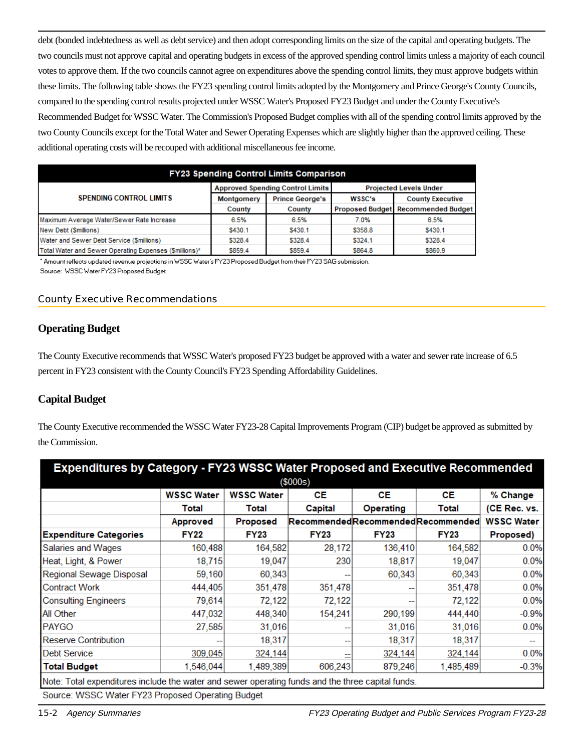debt (bonded indebtedness as well as debt service) and then adopt corresponding limits on the size of the capital and operating budgets. The two councils must not approve capital and operating budgets in excess of the approved spending control limits unless a majority of each council votes to approve them. If the two councils cannot agree on expenditures above the spending control limits, they must approve budgets within these limits. The following table shows the FY23 spending control limits adopted by the Montgomery and Prince George's County Councils, compared to the spending control results projected under WSSC Water's Proposed FY23 Budget and under the County Executive's Recommended Budget for WSSC Water. The Commission's Proposed Budget complies with all of the spending control limits approved by the two County Councils except for the Total Water and Sewer Operating Expenses which are slightly higher than the approved ceiling. These additional operating costs will be recouped with additional miscellaneous fee income.

| FY23 Spending Control Limits Comparison               |            |                                         |                               |                                    |  |  |  |
|-------------------------------------------------------|------------|-----------------------------------------|-------------------------------|------------------------------------|--|--|--|
|                                                       |            | <b>Approved Spending Control Limits</b> | <b>Projected Levels Under</b> |                                    |  |  |  |
| <b>SPENDING CONTROL LIMITS</b>                        | Montgomery | <b>Prince George's</b>                  | WSSC's                        | <b>County Executive</b>            |  |  |  |
|                                                       | County     | County                                  |                               | Proposed Budget Recommended Budget |  |  |  |
| Maximum Average Water/Sewer Rate Increase             | 6.5%       | 6.5%                                    | 7.0%                          | 6.5%                               |  |  |  |
| New Debt (Smillions)                                  | \$430.1    | \$430.1                                 | \$358.8                       | \$430.1                            |  |  |  |
| Water and Sewer Debt Service (Smillions)              | \$328.4    | \$328.4                                 | \$324.1                       | \$328.4                            |  |  |  |
| Total Water and Sewer Operating Expenses (Smillions)* | \$859.4    | \$859.4                                 | \$864.8                       | \$860.9                            |  |  |  |

\* Amount reflects updated revenue projections in WSSC Water's FY23 Proposed Budget from their FY23 SAG submission. Source: WSSC Water FY23 Proposed Budget

#### County Executive Recommendations

#### **Operating Budget**

The County Executive recommends that WSSC Water's proposed FY23 budget be approved with a water and sewer rate increase of 6.5 percent in FY23 consistent with the County Council's FY23 Spending Affordability Guidelines.

#### **Capital Budget**

The County Executive recommended the WSSC Water FY23-28 Capital Improvements Program (CIP) budget be approved as submitted by the Commission.

| <b>Expenditures by Category - FY23 WSSC Water Proposed and Executive Recommended</b>              |                   |                   |             |                  |                                   |                   |  |  |
|---------------------------------------------------------------------------------------------------|-------------------|-------------------|-------------|------------------|-----------------------------------|-------------------|--|--|
| (\$000s)                                                                                          |                   |                   |             |                  |                                   |                   |  |  |
|                                                                                                   | <b>WSSC Water</b> | <b>WSSC Water</b> | СE          | СE               | <b>CE</b>                         | % Change          |  |  |
|                                                                                                   | Total             | Total             | Capital     | <b>Operating</b> | Total                             | (CE Rec. vs.      |  |  |
|                                                                                                   | Approved          | Proposed          |             |                  | RecommendedRecommendedRecommended | <b>WSSC Water</b> |  |  |
| <b>Expenditure Categories</b>                                                                     | <b>FY22</b>       | <b>FY23</b>       | <b>FY23</b> | <b>FY23</b>      | <b>FY23</b>                       | Proposed)         |  |  |
| Salaries and Wages                                                                                | 160,488           | 164,582           | 28,172      | 136,410          | 164,582                           | 0.0%              |  |  |
| Heat, Light, & Power                                                                              | 18,715            | 19,047            | 230         | 18,817           | 19,047                            | 0.0%              |  |  |
| Regional Sewage Disposal                                                                          | 59,160            | 60,343            |             | 60,343           | 60,343                            | 0.0%              |  |  |
| <b>Contract Work</b>                                                                              | 444,405           | 351,478           | 351,478     |                  | 351,478                           | 0.0%              |  |  |
| <b>Consulting Engineers</b>                                                                       | 79,614            | 72,122            | 72,122      |                  | 72,122                            | 0.0%              |  |  |
| <b>All Other</b>                                                                                  | 447,032           | 448,340           | 154,241     | 290,199          | 444,440                           | $-0.9%$           |  |  |
| <b>PAYGO</b>                                                                                      | 27,585            | 31,016            |             | 31,016           | 31,016                            | 0.0%              |  |  |
| <b>Reserve Contribution</b>                                                                       |                   | 18,317            |             | 18,317           | 18,317                            |                   |  |  |
| Debt Service                                                                                      | 309,045           | 324,144           |             | 324,144          | 324,144                           | 0.0%              |  |  |
| <b>Total Budget</b>                                                                               | 1,546,044         | 1,489,389         | 606,243     | 879,246          | 1,485,489                         | $-0.3%$           |  |  |
| Note: Total expenditures include the water and sewer operating funds and the three capital funds. |                   |                   |             |                  |                                   |                   |  |  |
| Source: WSSC Water FY23 Proposed Operating Budget                                                 |                   |                   |             |                  |                                   |                   |  |  |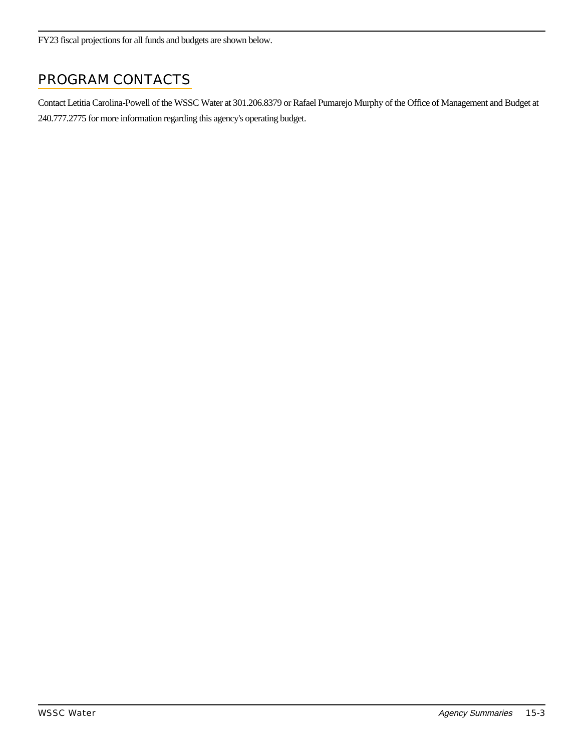FY23 fiscal projections for all funds and budgets are shown below.

## PROGRAM CONTACTS

Contact Letitia Carolina-Powell of the WSSC Water at 301.206.8379 or Rafael Pumarejo Murphy of the Office of Management and Budget at 240.777.2775 for more information regarding this agency's operating budget.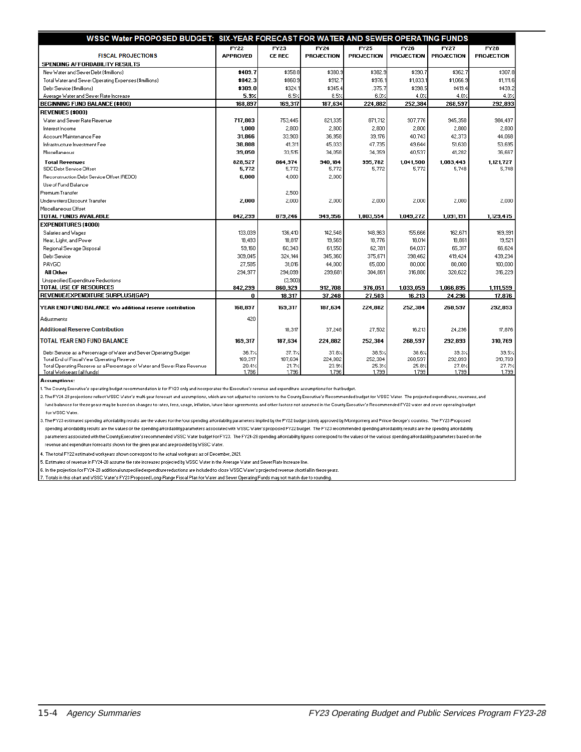| WSSC Water PROPOSED BUDGET: SIX-YEAR FORECAST FOR WATER AND SEWER OPERATING FUNDS                      |                 |                |                   |                   |                   |                   |                   |
|--------------------------------------------------------------------------------------------------------|-----------------|----------------|-------------------|-------------------|-------------------|-------------------|-------------------|
|                                                                                                        | <b>FY22</b>     | FY23           | <b>FY24</b>       | <b>FY25</b>       | FY26              | FY27              | $\overline{Y}$    |
| <b>FISCAL PROJECTIONS</b>                                                                              | <b>APPROVED</b> | <b>CE REC</b>  | <b>PROJECTION</b> | <b>PROJECTION</b> | <b>PROJECTION</b> | <b>PROJECTION</b> | <b>PROJECTION</b> |
| SPENDING AFFORDABILITY RESULTS                                                                         |                 |                |                   |                   |                   |                   |                   |
| New Water and Sewer Debt (\$millions).                                                                 | \$409.7         | \$358.8        | \$380.9           | \$382.9           | \$390.7           | \$362.7           | \$307.8           |
| Total Water and Sewer Operating Expenses (\$millions)                                                  | \$842.3         | \$860.9        | \$912.7           | \$976.            | \$1,033.          | \$1,066.9         | \$1,111.6         |
| Debt Service (\$millions)                                                                              | \$309.0         | \$324.1        | \$345.4           | .375.7            | \$398.5           | \$419.4           | \$439.2           |
| Average Water and Sewer Rate Increase                                                                  | 5.9%            | 6.5%           | 8.5%              | 6.0%              | 4.0%              | 4.0%              | 4.0%              |
| <b>BEGINNING FUND BALANCE (\$000)</b>                                                                  | 168.897         | 169.317        | 187.634           | 224.882           | 252.384           | 268,597           | 292.893           |
| <b>REVENUES (\$000)</b>                                                                                |                 |                |                   |                   |                   |                   |                   |
| Water and Sewer Rate Revenue                                                                           | 717.803         | 753.445        | 821.335           | 871.712           | 907.776           | 945.358           | 984,497           |
| Interest Income                                                                                        | 1,000           | 2,800          | 2,800             | 2,800             | 2,800             | 2,800             | 2,800             |
| Account Maintenance Fee                                                                                | 31,866          | 33,903         | 36,958            | 39,176            | 40,743            | 42,373            | 44,068            |
| Infrastructure Investment Fee                                                                          | 38,808          | 41.311         | 45,033            | 47,735            | 49,644            | 51,630            | 53,695            |
| Miscellaneous                                                                                          | 39.050          | 33,515         | 34.058            | 34.359            | 40.537            | 41.282            | 36.667            |
| <b>Total Revenues</b>                                                                                  | 828,527         | 864,974        | 940,184           | 995,782           | 1,041,500         | 1,083,443         | 1,121,727         |
| SDC Debt Service Offset                                                                                | 5,772           | 5,772          | 5,772             | 5,772             | 5.772             | 5.748             | 5.748             |
| Reconstruction Debt Service Offset (REDO)                                                              | 6,000           | 4,000          | 2,000             |                   |                   |                   |                   |
| Use of Fund Balance                                                                                    |                 |                |                   |                   |                   |                   |                   |
| Premium Transfer                                                                                       |                 | 2,500          |                   |                   |                   |                   |                   |
| Underwriters Discount Transfer                                                                         | 2.000           | 2,000          | 2.000             | 2.000             | 2.000             | 2.000             | 2.000             |
| Miscellaneous Offset                                                                                   |                 |                |                   |                   |                   |                   |                   |
| <b>TOTAL FUNDS AVAILABLE</b>                                                                           | 842,299         | 879,246        | 949,956           | 1,003,554         | 1,049,272         | 1,091,191         | 1,129,475         |
| <b>EXPENDITURES (\$000)</b>                                                                            |                 |                |                   |                   |                   |                   |                   |
| Salaries and Wages                                                                                     | 133,039         | 136,410        | 142.548           | 148.963           | 155,666           | 162.671           | 169,991           |
| Heat, Light, and Power                                                                                 | 18,493          | 18,817         | 19,569            | 18,776            | 18,014            | 18,861            | 19,521            |
| Regional Sewage Disposal                                                                               | 59,160          | 60,343         | 61,550            | 62,781            | 64,037            | 65,317            | 66,624            |
| Debt Service                                                                                           | 309.045         | 324,144        | 345.360           | 375.671           | 398,462           | 419.424           | 439.234           |
| <b>PAYGO</b>                                                                                           | 27,585          | 31,016         | 44,000            | 65,000            | 80,000            | 80,000            | 100,000           |
| <b>All Other</b>                                                                                       | 294,977         | 294,099        | 299,681           | 304.861           | 316,880           | 320.622           | 316,229           |
| Unspecified Expenditure Reductions                                                                     |                 | (3,900)        |                   |                   |                   |                   |                   |
| TOTAL USE OF RESOURCES                                                                                 | 842,299         | 860,929        | 912,708           | 976,051           | 1,033,059         | 1,066,895         | 1,111,599         |
| Revenue/Expenditure Surplus/(GAP)                                                                      | 0               | 18,317         | 37.248            | 27,503            | 16,213            | 24,296            | 17.876            |
| YEAR END FUND BALANCE w/o additional reserve contribution                                              | 168,897         | 169,317        | 187.634           | 224.882           | 252.384           | 268,597           | 292.893           |
| Adjustments                                                                                            | 420             |                |                   |                   |                   |                   |                   |
| <b>Additional Reserve Contribution</b>                                                                 |                 | 18,317         | 37,248            | 27,502            | 16,213            | 24,296            | 17,876            |
| <b>TOTAL YEAR END FUND BALANCE</b>                                                                     | 169,317         | 187,634        | 224,882           | 252,384           | 268,597           | 292,893           | 310,769           |
| Debt Service as a Percentage of Water and Sewer Operating Budget                                       | 36.7%           | 37.7%          | 37.8%             | 38.5%             | 38.6%             | 39.3/             | 39.5%             |
| Total End of Fiscal Year Operating Reserve                                                             | 169,317         | 187,634        | 224,882           | 252,384           | 268,597           | 292.893           | 310,769           |
| Total Operating Reserve as a Percentage of Water and Sewer Rate Revenue<br>Total Workyears (all funds) | 20.4/<br>1,786  | 21.7%<br>1,796 | 23.9/<br>1,796    | 25.3/<br>1,799    | 25.8/<br>1,799    | 27.0/<br>1,799    | 27.7%<br>1,799    |
|                                                                                                        |                 |                |                   |                   |                   |                   |                   |

Assumptions:

.<br>The County Executive's operating budget recommendation is for FY23 only and incorporates the Executive's revenue and expenditure assumptions for that budget.

.<br>2. The FY24-28 projections reflect VSSC Vater's multi-year forecast and assumptions, which are not adjusted to conform to the County Executive's Recommended budget for VSSC Vater. The projected expenditures, revenues, an fund balances for these years may be based on changes to rates, fees, usage, inflation, future labor agreements, and other factors not assumed in the County Executive's Recommended FY22 water and sewer operating budget for VSSC Vater.

3. The FY23 estimated spending affordability results are the values for the four spending affordability parameters implied by the FY22 budget jointly approved by Montgomery and Prince George's counties. The FY23 Proposed spending affordability results are the values of the spending affordability parameters associated with VSSC Water's proposed FY22 budget. The FY23 recommended spending affordability results are the spending affordability parameters associated with the County Executive's recommended WSSC Water budget for FY23. The FY24-28 spending affordability figures correspond to the values of the various spending affordability parameters based on the revenue and expenditure forecasts shown for the given year and are provided by WSSC Water.

.<br>4. The total FY22 estimated workyears shown correspond to the actual workyears as of December, 2021.

.<br>5. Estimates of revenue in FY24-28 assume the rate increases projected by WSSC Water in the Average Water and Sewer Rate Increase line.

.<br>6. In the projection for FY24-28 additional unspecified expenditure reductions are included to close WSSC Water's projected revenue shortfall in these years.

. Totals in this chart and WSSC Water's FY23 Proposed Long-Range Fiscal Plan for Water and Sewer Operating Funds may not match due to rounding.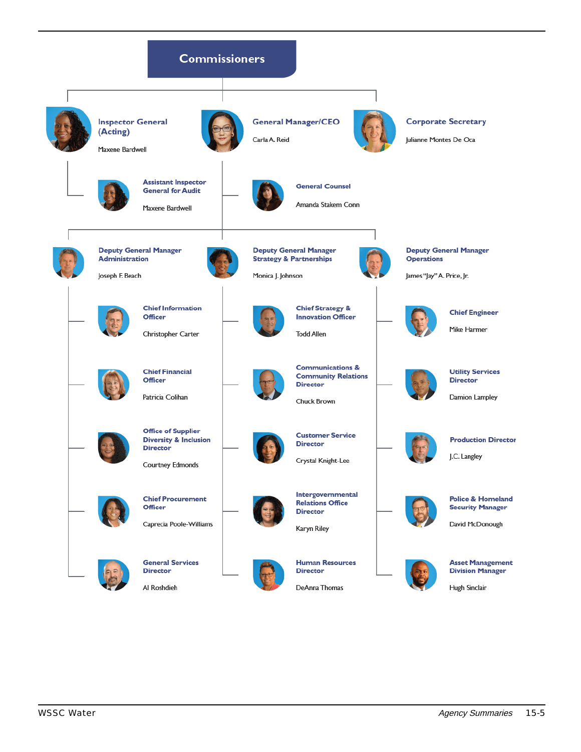